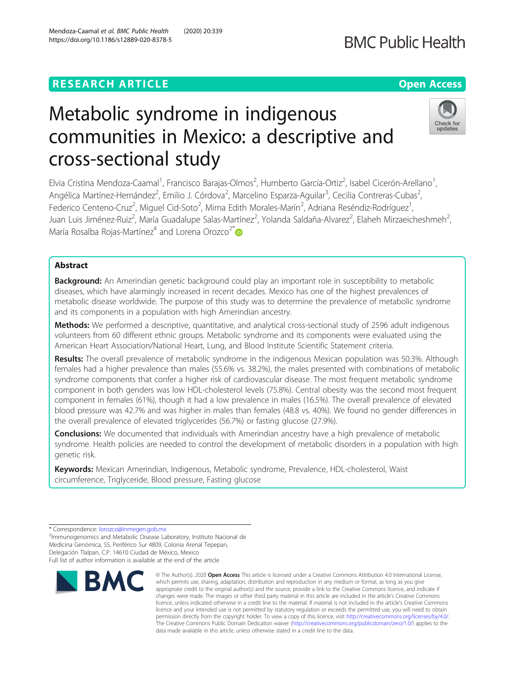# **RESEARCH ARTICLE Example 2014 12:30 The Contract of Contract ACCESS**

# Metabolic syndrome in indigenous communities in Mexico: a descriptive and cross-sectional study

Elvia Cristina Mendoza-Caamal<sup>1</sup>, Francisco Barajas-Olmos<sup>2</sup>, Humberto García-Ortiz<sup>2</sup>, Isabel Cicerón-Arellano<sup>1</sup> , Angélica Martínez-Hernández<sup>2</sup>, Emilio J. Córdova<sup>2</sup>, Marcelino Esparza-Aguilar<sup>3</sup>, Cecilia Contreras-Cubas<sup>2</sup> , Federico Centeno-Cruz<sup>2</sup>, Miguel Cid-Soto<sup>2</sup>, Mirna Edith Morales-Marín<sup>2</sup>, Adriana Reséndiz-Rodríguez<sup>1</sup> , Juan Luis Jiménez-Ruiz<sup>2</sup>, María Guadalupe Salas-Martínez<sup>2</sup>, Yolanda Saldaña-Alvarez<sup>2</sup>, Elaheh Mirzaeicheshmeh<sup>2</sup> .<br>, María Rosalba Rojas-Martínez<sup>4</sup> and Lorena Orozco<sup>2\*</sup>

## Abstract

**Background:** An Amerindian genetic background could play an important role in susceptibility to metabolic diseases, which have alarmingly increased in recent decades. Mexico has one of the highest prevalences of metabolic disease worldwide. The purpose of this study was to determine the prevalence of metabolic syndrome and its components in a population with high Amerindian ancestry.

Methods: We performed a descriptive, quantitative, and analytical cross-sectional study of 2596 adult indigenous volunteers from 60 different ethnic groups. Metabolic syndrome and its components were evaluated using the American Heart Association/National Heart, Lung, and Blood Institute Scientific Statement criteria.

Results: The overall prevalence of metabolic syndrome in the indigenous Mexican population was 50.3%. Although females had a higher prevalence than males (55.6% vs. 38.2%), the males presented with combinations of metabolic syndrome components that confer a higher risk of cardiovascular disease. The most frequent metabolic syndrome component in both genders was low HDL-cholesterol levels (75.8%). Central obesity was the second most frequent component in females (61%), though it had a low prevalence in males (16.5%). The overall prevalence of elevated blood pressure was 42.7% and was higher in males than females (48.8 vs. 40%). We found no gender differences in the overall prevalence of elevated triglycerides (56.7%) or fasting glucose (27.9%).

**Conclusions:** We documented that individuals with Amerindian ancestry have a high prevalence of metabolic syndrome. Health policies are needed to control the development of metabolic disorders in a population with high genetic risk.

Keywords: Mexican Amerindian, Indigenous, Metabolic syndrome, Prevalence, HDL-cholesterol, Waist circumference, Triglyceride, Blood pressure, Fasting glucose



© The Author(s), 2020 **Open Access** This article is licensed under a Creative Commons Attribution 4.0 International License,





<sup>\*</sup> Correspondence: [lorozco@inmegen.gob.mx](mailto:lorozco@inmegen.gob.mx) <sup>2</sup>

<sup>&</sup>lt;sup>2</sup>Immunogenomics and Metabolic Disease Laboratory, Instituto Nacional de Medicina Genómica, SS, Periférico Sur 4809, Colonia Arenal Tepepan, Delegación Tlalpan, C.P. 14610 Ciudad de México, Mexico Full list of author information is available at the end of the article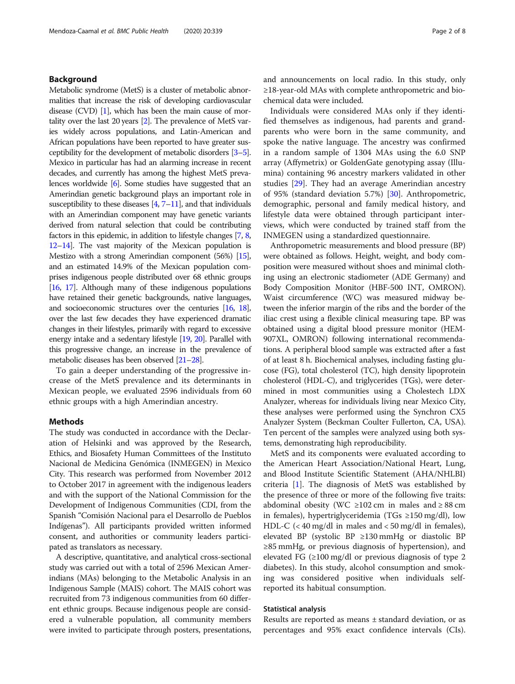#### Background

Metabolic syndrome (MetS) is a cluster of metabolic abnormalities that increase the risk of developing cardiovascular disease  $(CVD)$  [\[1\]](#page-6-0), which has been the main cause of mortality over the last 20 years [\[2\]](#page-6-0). The prevalence of MetS varies widely across populations, and Latin-American and African populations have been reported to have greater susceptibility for the development of metabolic disorders [\[3](#page-6-0)–[5](#page-6-0)]. Mexico in particular has had an alarming increase in recent decades, and currently has among the highest MetS prevalences worldwide [\[6](#page-6-0)]. Some studies have suggested that an Amerindian genetic background plays an important role in susceptibility to these diseases  $[4, 7-11]$  $[4, 7-11]$  $[4, 7-11]$  $[4, 7-11]$  $[4, 7-11]$ , and that individuals with an Amerindian component may have genetic variants derived from natural selection that could be contributing factors in this epidemic, in addition to lifestyle changes [\[7](#page-6-0), [8](#page-6-0), [12](#page-6-0)–[14](#page-6-0)]. The vast majority of the Mexican population is Mestizo with a strong Amerindian component (56%) [\[15](#page-6-0)], and an estimated 14.9% of the Mexican population comprises indigenous people distributed over 68 ethnic groups [[16,](#page-6-0) [17\]](#page-6-0). Although many of these indigenous populations have retained their genetic backgrounds, native languages, and socioeconomic structures over the centuries [\[16,](#page-6-0) [18](#page-6-0)], over the last few decades they have experienced dramatic changes in their lifestyles, primarily with regard to excessive energy intake and a sedentary lifestyle [[19,](#page-6-0) [20](#page-6-0)]. Parallel with this progressive change, an increase in the prevalence of metabolic diseases has been observed [\[21](#page-6-0)–[28\]](#page-7-0).

To gain a deeper understanding of the progressive increase of the MetS prevalence and its determinants in Mexican people, we evaluated 2596 individuals from 60 ethnic groups with a high Amerindian ancestry.

#### Methods

The study was conducted in accordance with the Declaration of Helsinki and was approved by the Research, Ethics, and Biosafety Human Committees of the Instituto Nacional de Medicina Genómica (INMEGEN) in Mexico City. This research was performed from November 2012 to October 2017 in agreement with the indigenous leaders and with the support of the National Commission for the Development of Indigenous Communities (CDI, from the Spanish "Comisión Nacional para el Desarrollo de Pueblos Indígenas"). All participants provided written informed consent, and authorities or community leaders participated as translators as necessary.

A descriptive, quantitative, and analytical cross-sectional study was carried out with a total of 2596 Mexican Amerindians (MAs) belonging to the Metabolic Analysis in an Indigenous Sample (MAIS) cohort. The MAIS cohort was recruited from 73 indigenous communities from 60 different ethnic groups. Because indigenous people are considered a vulnerable population, all community members were invited to participate through posters, presentations, and announcements on local radio. In this study, only ≥18-year-old MAs with complete anthropometric and biochemical data were included.

Individuals were considered MAs only if they identified themselves as indigenous, had parents and grandparents who were born in the same community, and spoke the native language. The ancestry was confirmed in a random sample of 1304 MAs using the 6.0 SNP array (Affymetrix) or GoldenGate genotyping assay (Illumina) containing 96 ancestry markers validated in other studies [\[29](#page-7-0)]. They had an average Amerindian ancestry of 95% (standard deviation 5.7%) [[30\]](#page-7-0). Anthropometric, demographic, personal and family medical history, and lifestyle data were obtained through participant interviews, which were conducted by trained staff from the INMEGEN using a standardized questionnaire.

Anthropometric measurements and blood pressure (BP) were obtained as follows. Height, weight, and body composition were measured without shoes and minimal clothing using an electronic stadiometer (ADE Germany) and Body Composition Monitor (HBF-500 INT, OMRON). Waist circumference (WC) was measured midway between the inferior margin of the ribs and the border of the iliac crest using a flexible clinical measuring tape. BP was obtained using a digital blood pressure monitor (HEM-907XL, OMRON) following international recommendations. A peripheral blood sample was extracted after a fast of at least 8 h. Biochemical analyses, including fasting glucose (FG), total cholesterol (TC), high density lipoprotein cholesterol (HDL-C), and triglycerides (TGs), were determined in most communities using a Cholestech LDX Analyzer, whereas for individuals living near Mexico City, these analyses were performed using the Synchron CX5 Analyzer System (Beckman Coulter Fullerton, CA, USA). Ten percent of the samples were analyzed using both systems, demonstrating high reproducibility.

MetS and its components were evaluated according to the American Heart Association/National Heart, Lung, and Blood Institute Scientific Statement (AHA/NHLBI) criteria [[1\]](#page-6-0). The diagnosis of MetS was established by the presence of three or more of the following five traits: abdominal obesity (WC ≥102 cm in males and ≥ 88 cm in females), hypertriglyceridemia (TGs  $\geq$ 150 mg/dl), low HDL-C  $\left($  < 40 mg/dl in males and < 50 mg/dl in females), elevated BP (systolic BP ≥130 mmHg or diastolic BP ≥85 mmHg, or previous diagnosis of hypertension), and elevated FG  $(\geq 100 \text{ mg/d})$  or previous diagnosis of type 2 diabetes). In this study, alcohol consumption and smoking was considered positive when individuals selfreported its habitual consumption.

#### Statistical analysis

Results are reported as means ± standard deviation, or as percentages and 95% exact confidence intervals (CIs).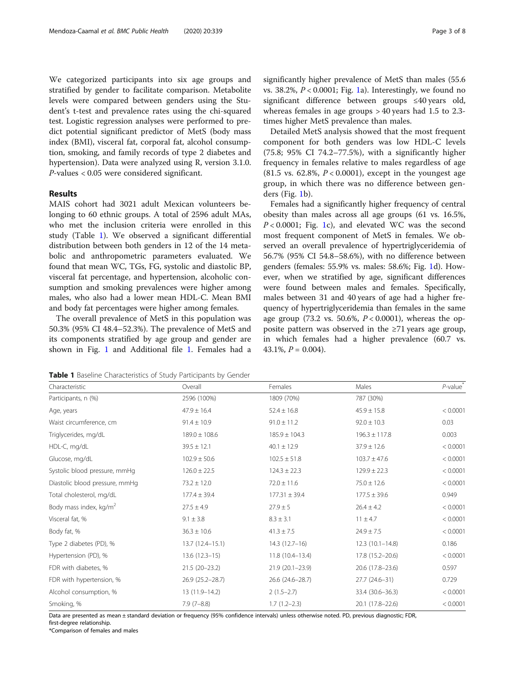We categorized participants into six age groups and stratified by gender to facilitate comparison. Metabolite levels were compared between genders using the Student's t-test and prevalence rates using the chi-squared test. Logistic regression analyses were performed to predict potential significant predictor of MetS (body mass index (BMI), visceral fat, corporal fat, alcohol consumption, smoking, and family records of type 2 diabetes and hypertension). Data were analyzed using R, version 3.1.0. P-values < 0.05 were considered significant.

#### Results

MAIS cohort had 3021 adult Mexican volunteers belonging to 60 ethnic groups. A total of 2596 adult MAs, who met the inclusion criteria were enrolled in this study (Table 1). We observed a significant differential distribution between both genders in 12 of the 14 metabolic and anthropometric parameters evaluated. We found that mean WC, TGs, FG, systolic and diastolic BP, visceral fat percentage, and hypertension, alcoholic consumption and smoking prevalences were higher among males, who also had a lower mean HDL-C. Mean BMI and body fat percentages were higher among females.

The overall prevalence of MetS in this population was 50.3% (95% CI 48.4–52.3%). The prevalence of MetS and its components stratified by age group and gender are shown in Fig. [1](#page-3-0) and Additional file [1](#page-5-0). Females had a

Table 1 Baseline Characteristics of Study Participants by Gender

significantly higher prevalence of MetS than males (55.6 vs. 38.2%,  $P < 0.0001$  $P < 0.0001$ ; Fig. 1a). Interestingly, we found no significant difference between groups ≤40 years old, whereas females in age groups > 40 years had 1.5 to 2.3 times higher MetS prevalence than males.

Detailed MetS analysis showed that the most frequent component for both genders was low HDL-C levels (75.8; 95% CI 74.2–77.5%), with a significantly higher frequency in females relative to males regardless of age (81.5 vs. 62.8%,  $P < 0.0001$ ), except in the youngest age group, in which there was no difference between genders (Fig. [1](#page-3-0)b).

Females had a significantly higher frequency of central obesity than males across all age groups (61 vs. 16.5%,  $P < 0.0001$ ; Fig. [1c](#page-3-0)), and elevated WC was the second most frequent component of MetS in females. We observed an overall prevalence of hypertriglyceridemia of 56.7% (95% CI 54.8–58.6%), with no difference between genders (females: 55.9% vs. males: 58.6%; Fig. [1](#page-3-0)d). However, when we stratified by age, significant differences were found between males and females. Specifically, males between 31 and 40 years of age had a higher frequency of hypertriglyceridemia than females in the same age group (73.2 vs. 50.6%,  $P < 0.0001$ ), whereas the opposite pattern was observed in the ≥71 years age group, in which females had a higher prevalence (60.7 vs. 43.1%,  $P = 0.004$ ).

| Characteristic                 | Overall             | Females             | Males             | $P$ -value $*$ |
|--------------------------------|---------------------|---------------------|-------------------|----------------|
| Participants, n (%)            | 2596 (100%)         | 1809 (70%)          | 787 (30%)         |                |
| Age, years                     | $47.9 \pm 16.4$     | $52.4 \pm 16.8$     | $45.9 \pm 15.8$   | < 0.0001       |
| Waist circumference, cm        | $91.4 \pm 10.9$     | $91.0 \pm 11.2$     | $92.0 \pm 10.3$   | 0.03           |
| Triglycerides, mg/dL           | $189.0 \pm 108.6$   | $185.9 \pm 104.3$   | $196.3 \pm 117.8$ | 0.003          |
| HDL-C, mg/dL                   | $39.5 \pm 12.1$     | $40.1 \pm 12.9$     | $37.9 \pm 12.6$   | < 0.0001       |
| Glucose, mg/dL                 | $102.9 \pm 50.6$    | $102.5 \pm 51.8$    | $103.7 \pm 47.6$  | < 0.0001       |
| Systolic blood pressure, mmHg  | $126.0 \pm 22.5$    | $124.3 \pm 22.3$    | $129.9 \pm 22.3$  | < 0.0001       |
| Diastolic blood pressure, mmHg | $73.2 \pm 12.0$     | $72.0 \pm 11.6$     | $75.0 \pm 12.6$   | < 0.0001       |
| Total cholesterol, mg/dL       | $177.4 \pm 39.4$    | $177.31 \pm 39.4$   | $177.5 \pm 39.6$  | 0.949          |
| Body mass index, $kg/m^2$      | $27.5 \pm 4.9$      | $27.9 \pm 5$        | $26.4 \pm 4.2$    | < 0.0001       |
| Visceral fat, %                | $9.1 \pm 3.8$       | $8.3 \pm 3.1$       | $11 \pm 4.7$      | < 0.0001       |
| Body fat, %                    | $36.3 \pm 10.6$     | $41.3 \pm 7.5$      | $24.9 \pm 7.5$    | < 0.0001       |
| Type 2 diabetes (PD), %        | $13.7(12.4 - 15.1)$ | $14.3(12.7-16)$     | $12.3(10.1-14.8)$ | 0.186          |
| Hypertension (PD), %           | $13.6(12.3-15)$     | $11.8(10.4-13.4)$   | 17.8 (15.2-20.6)  | < 0.0001       |
| FDR with diabetes, %           | $21.5(20-23.2)$     | $21.9(20.1 - 23.9)$ | 20.6 (17.8-23.6)  | 0.597          |
| FDR with hypertension, %       | 26.9 (25.2-28.7)    | 26.6 (24.6-28.7)    | 27.7 (24.6-31)    | 0.729          |
| Alcohol consumption, %         | 13 (11.9–14.2)      | $2(1.5-2.7)$        | 33.4 (30.6-36.3)  | < 0.0001       |
| Smoking, %                     | $7.9(7-8.8)$        | $1.7(1.2-2.3)$      | 20.1 (17.8-22.6)  | < 0.0001       |

Data are presented as mean ± standard deviation or frequency (95% confidence intervals) unless otherwise noted. PD, previous diagnostic; FDR, first-degree relationship.

\*Comparison of females and males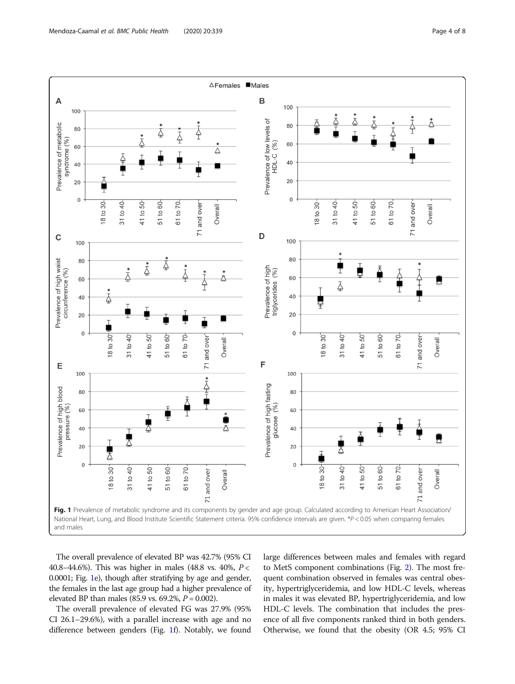<span id="page-3-0"></span>

The overall prevalence of elevated BP was 42.7% (95% CI 40.8–44.6%). This was higher in males (48.8 vs. 40%, P < 0.0001; Fig. 1e), though after stratifying by age and gender, the females in the last age group had a higher prevalence of elevated BP than males (85.9 vs. 69.2%,  $P = 0.002$ ).

The overall prevalence of elevated FG was 27.9% (95% CI 26.1–29.6%), with a parallel increase with age and no difference between genders (Fig. 1f). Notably, we found

large differences between males and females with regard to MetS component combinations (Fig. [2](#page-4-0)). The most frequent combination observed in females was central obesity, hypertriglyceridemia, and low HDL-C levels, whereas in males it was elevated BP, hypertriglyceridemia, and low HDL-C levels. The combination that includes the presence of all five components ranked third in both genders. Otherwise, we found that the obesity (OR 4.5; 95% CI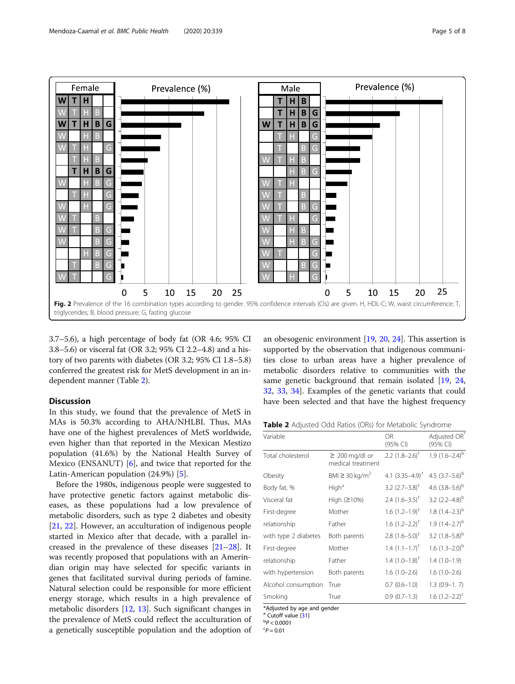

<span id="page-4-0"></span>

3.7–5.6), a high percentage of body fat (OR 4.6; 95% CI 3.8–5.6) or visceral fat (OR 3.2; 95% CI 2.2–4.8) and a history of two parents with diabetes (OR 3.2; 95% CI 1.8–5.8) conferred the greatest risk for MetS development in an independent manner (Table 2).

### **Discussion**

In this study, we found that the prevalence of MetS in MAs is 50.3% according to AHA/NHLBI. Thus, MAs have one of the highest prevalences of MetS worldwide, even higher than that reported in the Mexican Mestizo population (41.6%) by the National Health Survey of Mexico (ENSANUT) [\[6](#page-6-0)], and twice that reported for the Latin-American population (24.9%) [\[5](#page-6-0)].

Before the 1980s, indigenous people were suggested to have protective genetic factors against metabolic diseases, as these populations had a low prevalence of metabolic disorders, such as type 2 diabetes and obesity [[21,](#page-6-0) [22\]](#page-6-0). However, an acculturation of indigenous people started in Mexico after that decade, with a parallel increased in the prevalence of these diseases [[21](#page-6-0)–[28](#page-7-0)]. It was recently proposed that populations with an Amerindian origin may have selected for specific variants in genes that facilitated survival during periods of famine. Natural selection could be responsible for more efficient energy storage, which results in a high prevalence of metabolic disorders [\[12,](#page-6-0) [13](#page-6-0)]. Such significant changes in the prevalence of MetS could reflect the acculturation of a genetically susceptible population and the adoption of

an obesogenic environment [[19,](#page-6-0) [20,](#page-6-0) [24\]](#page-6-0). This assertion is supported by the observation that indigenous communities close to urban areas have a higher prevalence of metabolic disorders relative to communities with the same genetic background that remain isolated [[19,](#page-6-0) [24](#page-6-0), [32,](#page-7-0) [33](#page-7-0), [34](#page-7-0)]. Examples of the genetic variants that could have been selected and that have the highest frequency

| Table 2 Adjusted Odd Ratios (ORs) for Metabolic Syndrome |  |  |  |  |
|----------------------------------------------------------|--|--|--|--|
|----------------------------------------------------------|--|--|--|--|

| Variable             |                                                     | <b>OR</b><br>(95% CI)       | Adjusted OR<br>(95% CI) |
|----------------------|-----------------------------------------------------|-----------------------------|-------------------------|
| Total cholesterol    | $\geq 200 \,\mathrm{mg/dl}$ or<br>medical treatment | 2.2 $(1.8-2.6)^{\dagger}$   | $1.9(1.6-2.4)^{b}$      |
| Obesity              | BMI $\geq$ 30 kg/m <sup>2</sup>                     | 4.1 $(3.35-4.9)^{\dagger}$  | 4.5 $(3.7-5.6)^{b}$     |
| Body fat, %          | High <sup>a</sup>                                   | 3.2 $(2.7-3.8)^{+}$         | 4.6 $(3.8-5.6)^b$       |
| Visceral fat         | High (≥10%)                                         | 2.4 $(1.6 - 3.5)^{\dagger}$ | 3.2 $(2.2 - 4.8)^{b}$   |
| First-degree         | Mother                                              | $1.6$ $(1.2-1.9)^{+}$       | 1.8 $(1.4-2.3)^{b}$     |
| relationship         | Father                                              | $1.6$ $(1.2 - 2.2)^{+}$     | $1.9(1.4-2.7)^{b}$      |
| with type 2 diabetes | Both parents                                        | $2.8$ $(1.6 - 5.0)^{+}$     | 3.2 $(1.8-5.8)^{b}$     |
| First-degree         | Mother                                              | $1.4$ $(1.1-1.7)^{+}$       | 1.6 $(1.3 - 2.0)^{b}$   |
| relationship         | Father                                              | $1.4$ $(1.0-1.8)^{+}$       | $1.4(1.0-1.9)$          |
| with hypertension    | Both parents                                        | $1.6(1.0-2.6)$              | $1.6(1.0-2.6)$          |
| Alcohol consumption  | True                                                | $0.7(0.6-1.0)$              | $1.3(0.9-1.7)$          |
| Smoking              | True                                                | $0.9(0.7-1.3)$              | 1.6 $(1.2 - 2.2)^{c}$   |

\*Adjusted by age and gender

<sup>a</sup> Cutoff value [\[31](#page-7-0)]

 $\rm ^{b}P < 0.0001$ 

 $P = 0.01$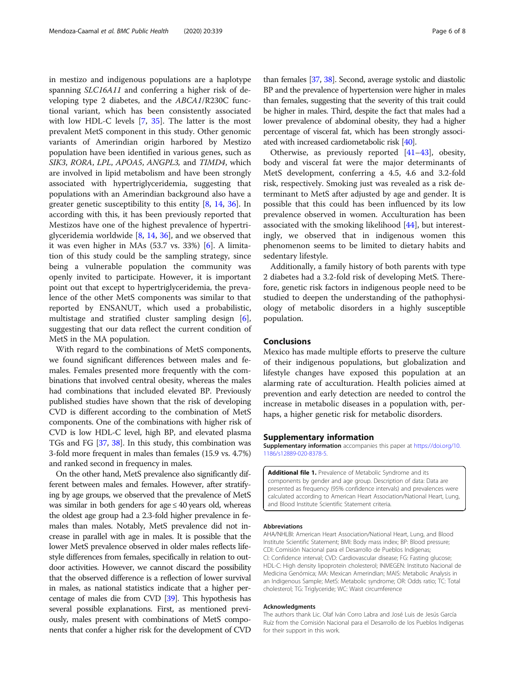<span id="page-5-0"></span>in mestizo and indigenous populations are a haplotype spanning SLC16A11 and conferring a higher risk of developing type 2 diabetes, and the ABCA1/R230C functional variant, which has been consistently associated with low HDL-C levels [\[7](#page-6-0), [35\]](#page-7-0). The latter is the most prevalent MetS component in this study. Other genomic variants of Amerindian origin harbored by Mestizo population have been identified in various genes, such as SIK3, RORA, LPL, APOA5, ANGPL3, and TIMD4, which are involved in lipid metabolism and have been strongly associated with hypertriglyceridemia, suggesting that populations with an Amerindian background also have a greater genetic susceptibility to this entity [\[8](#page-6-0), [14,](#page-6-0) [36](#page-7-0)]. In according with this, it has been previously reported that Mestizos have one of the highest prevalence of hypertriglyceridemia worldwide [[8,](#page-6-0) [14,](#page-6-0) [36\]](#page-7-0), and we observed that it was even higher in MAs (53.7 vs. 33%) [[6](#page-6-0)]. A limitation of this study could be the sampling strategy, since being a vulnerable population the community was openly invited to participate. However, it is important point out that except to hypertriglyceridemia, the prevalence of the other MetS components was similar to that reported by ENSANUT, which used a probabilistic, multistage and stratified cluster sampling design [\[6](#page-6-0)], suggesting that our data reflect the current condition of MetS in the MA population.

With regard to the combinations of MetS components, we found significant differences between males and females. Females presented more frequently with the combinations that involved central obesity, whereas the males had combinations that included elevated BP. Previously published studies have shown that the risk of developing CVD is different according to the combination of MetS components. One of the combinations with higher risk of CVD is low HDL-C level, high BP, and elevated plasma TGs and FG [\[37,](#page-7-0) [38\]](#page-7-0). In this study, this combination was 3-fold more frequent in males than females (15.9 vs. 4.7%) and ranked second in frequency in males.

On the other hand, MetS prevalence also significantly different between males and females. However, after stratifying by age groups, we observed that the prevalence of MetS was similar in both genders for age  $\leq$  40 years old, whereas the oldest age group had a 2.3-fold higher prevalence in females than males. Notably, MetS prevalence did not increase in parallel with age in males. It is possible that the lower MetS prevalence observed in older males reflects lifestyle differences from females, specifically in relation to outdoor activities. However, we cannot discard the possibility that the observed difference is a reflection of lower survival in males, as national statistics indicate that a higher percentage of males die from CVD [\[39](#page-7-0)]. This hypothesis has several possible explanations. First, as mentioned previously, males present with combinations of MetS components that confer a higher risk for the development of CVD

than females [\[37,](#page-7-0) [38](#page-7-0)]. Second, average systolic and diastolic BP and the prevalence of hypertension were higher in males than females, suggesting that the severity of this trait could be higher in males. Third, despite the fact that males had a lower prevalence of abdominal obesity, they had a higher percentage of visceral fat, which has been strongly associated with increased cardiometabolic risk [[40](#page-7-0)].

Otherwise, as previously reported [\[41](#page-7-0)–[43](#page-7-0)], obesity, body and visceral fat were the major determinants of MetS development, conferring a 4.5, 4.6 and 3.2-fold risk, respectively. Smoking just was revealed as a risk determinant to MetS after adjusted by age and gender. It is possible that this could has been influenced by its low prevalence observed in women. Acculturation has been associated with the smoking likelihood [[44\]](#page-7-0), but interestingly, we observed that in indigenous women this phenomenon seems to be limited to dietary habits and sedentary lifestyle.

Additionally, a family history of both parents with type 2 diabetes had a 3.2-fold risk of developing MetS. Therefore, genetic risk factors in indigenous people need to be studied to deepen the understanding of the pathophysiology of metabolic disorders in a highly susceptible population.

#### Conclusions

Mexico has made multiple efforts to preserve the culture of their indigenous populations, but globalization and lifestyle changes have exposed this population at an alarming rate of acculturation. Health policies aimed at prevention and early detection are needed to control the increase in metabolic diseases in a population with, perhaps, a higher genetic risk for metabolic disorders.

#### Supplementary information

Supplementary information accompanies this paper at [https://doi.org/10.](https://doi.org/10.1186/s12889-020-8378-5) [1186/s12889-020-8378-5.](https://doi.org/10.1186/s12889-020-8378-5)

Additional file 1. Prevalence of Metabolic Syndrome and its components by gender and age group. Description of data: Data are presented as frequency (95% confidence intervals) and prevalences were calculated according to American Heart Association/National Heart, Lung, and Blood Institute Scientific Statement criteria.

#### Abbreviations

AHA/NHLBI: American Heart Association/National Heart, Lung, and Blood Institute Scientific Statement; BMI: Body mass index; BP: Blood pressure; CDI: Comisión Nacional para el Desarrollo de Pueblos Indígenas; CI: Confidence interval; CVD: Cardiovascular disease; FG: Fasting glucose; HDL-C: High density lipoprotein cholesterol; INMEGEN: Instituto Nacional de Medicina Genómica; MA: Mexican Amerindian; MAIS: Metabolic Analysis in an Indigenous Sample; MetS: Metabolic syndrome; OR: Odds ratio; TC: Total cholesterol; TG: Triglyceride; WC: Waist circumference

#### Acknowledgments

The authors thank Lic. Olaf Iván Corro Labra and José Luis de Jesús García Ruíz from the Comisión Nacional para el Desarrollo de los Pueblos Indígenas for their support in this work.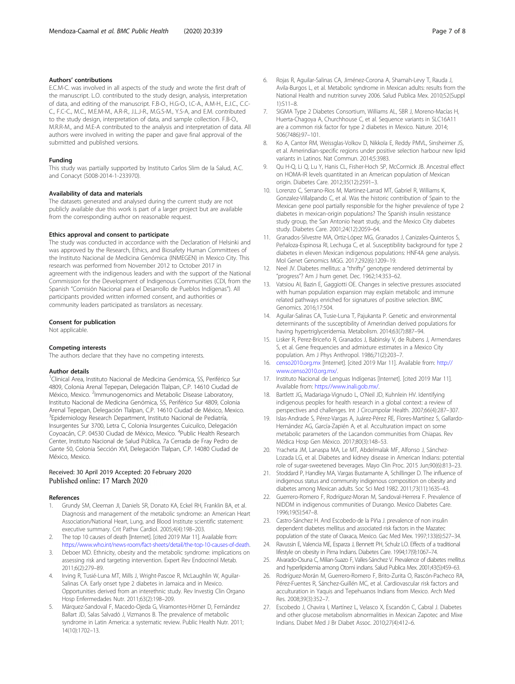#### <span id="page-6-0"></span>Authors' contributions

E.C.M-C. was involved in all aspects of the study and wrote the first draft of the manuscript. L.O. contributed to the study design, analysis, interpretation of data, and editing of the manuscript. F.B-O., H.G-O., I.C-A., A.M-H., E.J.C., C.C-C., F.C-C., M.C., M.E.M-M., A.R-R., J.L.J-R., M.G.S-M., Y.S-A, and E.M. contributed to the study design, interpretation of data, and sample collection. F.B-O., M.R.R-M., and M.E-A contributed to the analysis and interpretation of data. All authors were involved in writing the paper and gave final approval of the submitted and published versions.

#### Funding

This study was partially supported by Instituto Carlos Slim de la Salud, A.C. and Conacyt (S008-2014-1-233970).

#### Availability of data and materials

The datasets generated and analysed during the current study are not publicly available due this work is part of a larger project but are available from the corresponding author on reasonable request.

#### Ethics approval and consent to participate

The study was conducted in accordance with the Declaration of Helsinki and was approved by the Research, Ethics, and Biosafety Human Committees of the Instituto Nacional de Medicina Genómica (INMEGEN) in Mexico City. This research was performed from November 2012 to October 2017 in agreement with the indigenous leaders and with the support of the National Commission for the Development of Indigenous Communities (CDI, from the Spanish "Comisión Nacional para el Desarrollo de Pueblos Indígenas"). All participants provided written informed consent, and authorities or community leaders participated as translators as necessary.

#### Consent for publication

Not applicable.

#### Competing interests

The authors declare that they have no competing interests.

#### Author details

<sup>1</sup>Clinical Area, Instituto Nacional de Medicina Genómica, SS, Periférico Sur 4809, Colonia Arenal Tepepan, Delegación Tlalpan, C.P. 14610 Ciudad de México, Mexico. <sup>2</sup>Immunogenomics and Metabolic Disease Laboratory, Instituto Nacional de Medicina Genómica, SS, Periférico Sur 4809, Colonia Arenal Tepepan, Delegación Tlalpan, C.P. 14610 Ciudad de México, Mexico. <sup>3</sup> Epidemiology Research Department, Instituto Nacional de Pediatría, Insurgentes Sur 3700, Letra C, Colonia Insurgentes Cuicuilco, Delegación Coyoacán, C.P. 04530 Ciudad de México, Mexico. <sup>4</sup>Public Health Research Center, Instituto Nacional de Salud Pública, 7a Cerrada de Fray Pedro de Gante 50, Colonia Sección XVI, Delegación Tlalpan, C.P. 14080 Ciudad de México, Mexico.

#### Received: 30 April 2019 Accepted: 20 February 2020 Published online: 17 March 2020

#### References

- Grundy SM, Cleeman JI, Daniels SR, Donato KA, Eckel RH, Franklin BA, et al. Diagnosis and management of the metabolic syndrome: an American Heart Association/National Heart, Lung, and Blood Institute scientific statement: executive summary. Crit Pathw Cardiol. 2005;4(4):198–203.
- 2. The top 10 causes of death [Internet]. [cited 2019 Mar 11]. Available from: [https://www.who.int/news-room/fact-sheets/detail/the-top-10-causes-of-death.](https://www.who.int/news-room/fact-sheets/detail/the-top-10-causes-of-death)
- 3. Deboer MD. Ethnicity, obesity and the metabolic syndrome: implications on assessing risk and targeting intervention. Expert Rev Endocrinol Metab. 2011;6(2):279–89.
- 4. Irving R, Tusié-Luna MT, Mills J, Wright-Pascoe R, McLaughlin W, Aguilar-Salinas CA. Early onset type 2 diabetes in Jamaica and in Mexico. Opportunities derived from an interethnic study. Rev Investig Clin Organo Hosp Enfermedades Nutr. 2011;63(2):198–209.
- Márquez-Sandoval F, Macedo-Ojeda G, Viramontes-Hörner D, Fernández Ballart JD, Salas Salvadó J, Vizmanos B. The prevalence of metabolic syndrome in Latin America: a systematic review. Public Health Nutr. 2011; 14(10):1702–13.
- 6. Rojas R, Aguilar-Salinas CA, Jiménez-Corona A, Shamah-Levy T, Rauda J, Avila-Burgos L, et al. Metabolic syndrome in Mexican adults: results from the National Health and nutrition survey 2006. Salud Publica Mex. 2010;52(Suppl 1):S11–8.
- 7. SIGMA Type 2 Diabetes Consortium, Williams AL, SBR J, Moreno-Macías H, Huerta-Chagoya A, Churchhouse C, et al. Sequence variants in SLC16A11 are a common risk factor for type 2 diabetes in Mexico. Nature. 2014; 506(7486):97–101.
- 8. Ko A, Cantor RM, Weissglas-Volkov D, Nikkola E, Reddy PMVL, Sinsheimer JS, et al. Amerindian-specific regions under positive selection harbour new lipid variants in Latinos. Nat Commun. 2014;5:3983.
- 9. Qu H-Q, Li Q, Lu Y, Hanis CL, Fisher-Hoch SP, McCormick JB. Ancestral effect on HOMA-IR levels quantitated in an American population of Mexican origin. Diabetes Care. 2012;35(12):2591–3.
- 10. Lorenzo C, Serrano-Rios M, Martinez-Larrad MT, Gabriel R, Williams K, Gonzalez-Villalpando C, et al. Was the historic contribution of Spain to the Mexican gene pool partially responsible for the higher prevalence of type 2 diabetes in mexican-origin populations? The Spanish insulin resistance study group, the San Antonio heart study, and the Mexico City diabetes study. Diabetes Care. 2001;24(12):2059–64.
- 11. Granados-Silvestre MA, Ortiz-López MG, Granados J, Canizales-Quinteros S, Peñaloza-Espinosa RI, Lechuga C, et al. Susceptibility background for type 2 diabetes in eleven Mexican indigenous populations: HNF4A gene analysis. Mol Genet Genomics MGG. 2017;292(6):1209–19.
- 12. Neel JV. Diabetes mellitus: a "thrifty" genotype rendered detrimental by "progress"? Am J hum genet. Dec. 1962;14:353–62.
- 13. Vatsiou AI, Bazin E, Gaggiotti OE. Changes in selective pressures associated with human population expansion may explain metabolic and immune related pathways enriched for signatures of positive selection. BMC Genomics. 2016;17:504.
- 14. Aguilar-Salinas CA, Tusie-Luna T, Pajukanta P. Genetic and environmental determinants of the susceptibility of Amerindian derived populations for having hypertriglyceridemia. Metabolism. 2014;63(7):887–94.
- 15. Lisker R, Perez-Briceño R, Granados J, Babinsky V, de Rubens J, Armendares S, et al. Gene frequencies and admixture estimates in a Mexico City population. Am J Phys Anthropol. 1986;71(2):203–7.
- 16. [censo2010.org.mx](http://censo2010.org.mx) [Internet]. [cited 2019 Mar 11]. Available from: [http://](http://www.censo2010.org.mx/) [www.censo2010.org.mx/.](http://www.censo2010.org.mx/)
- 17. Instituto Nacional de Lenguas Indígenas [Internet]. [cited 2019 Mar 11]. Available from: [https://www.inali.gob.mx/.](https://www.inali.gob.mx/)
- 18. Bartlett JG, Madariaga-Vignudo L, O'Neil JD, Kuhnlein HV. Identifying indigenous peoples for health research in a global context: a review of perspectives and challenges. Int J Circumpolar Health. 2007;66(4):287–307.
- 19. Islas-Andrade S, Pérez-Vargas A, Juárez-Pérez RE, Flores-Martínez S, Gallardo-Hernández AG, García-Zapién A, et al. Acculturation impact on some metabolic parameters of the Lacandon communities from Chiapas. Rev Médica Hosp Gen México. 2017;80(3):148–53.
- 20. Yracheta JM, Lanaspa MA, Le MT, Abdelmalak MF, Alfonso J, Sánchez-Lozada LG, et al. Diabetes and kidney disease in American Indians: potential role of sugar-sweetened beverages. Mayo Clin Proc. 2015 Jun;90(6):813–23.
- 21. Stoddard P, Handley MA, Vargas Bustamante A, Schillinger D. The influence of indigenous status and community indigenous composition on obesity and diabetes among Mexican adults. Soc Sci Med 1982. 2011;73(11):1635–43.
- 22. Guerrero-Romero F, Rodríguez-Moran M, Sandoval-Herrera F. Prevalence of NIDDM in indigenous communities of Durango. Mexico Diabetes Care. 1996;19(5):547–8.
- 23. Castro-Sánchez H. And Escobedo-de la Piña J. prevalence of non insulin dependent diabetes mellitus and associated risk factors in the Mazatec population of the state of Oaxaca, Mexico. Gac Med Mex. 1997;133(6):527–34.
- 24. Ravussin E, Valencia ME, Esparza J, Bennett PH, Schulz LO. Effects of a traditional lifestyle on obesity in Pima Indians. Diabetes Care. 1994;17(9):1067–74.
- 25. Alvarado-Osuna C, Milian-Suazo F, Valles-Sánchez V. Prevalence of diabetes mellitus and hyperlipidemia among Otomi indians. Salud Publica Mex. 2001;43(5):459–63.
- 26. Rodríguez-Morán M, Guerrero-Romero F, Brito-Zurita O, Rascón-Pacheco RA, Pérez-Fuentes R, Sánchez-Guillén MC, et al. Cardiovascular risk factors and acculturation in Yaquis and Tepehuanos Indians from Mexico. Arch Med Res. 2008;39(3):352–7.
- 27. Escobedo J, Chavira I, Martínez L, Velasco X, Escandón C, Cabral J. Diabetes and other glucose metabolism abnormalities in Mexican Zapotec and Mixe Indians. Diabet Med J Br Diabet Assoc. 2010;27(4):412–6.